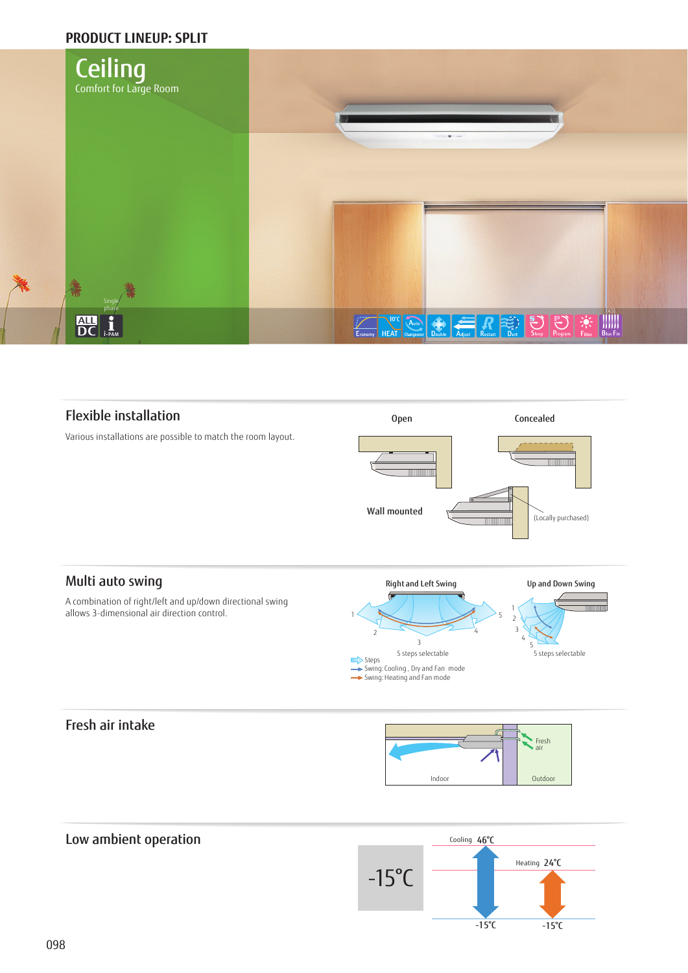# **PRODUCT LINEUP: SPLIT**



# Flexible installation

Various installations are possible to match the room layout.



# Multi auto swing

A combination of right/left and up/down directional swing allows 3-dimensional air direction control.



# Fresh air intake

Low ambient operation



# Cooling 46°C  $-15^{\circ}C$ Heating 24°C  $-15^{\circ}C$ -15°C